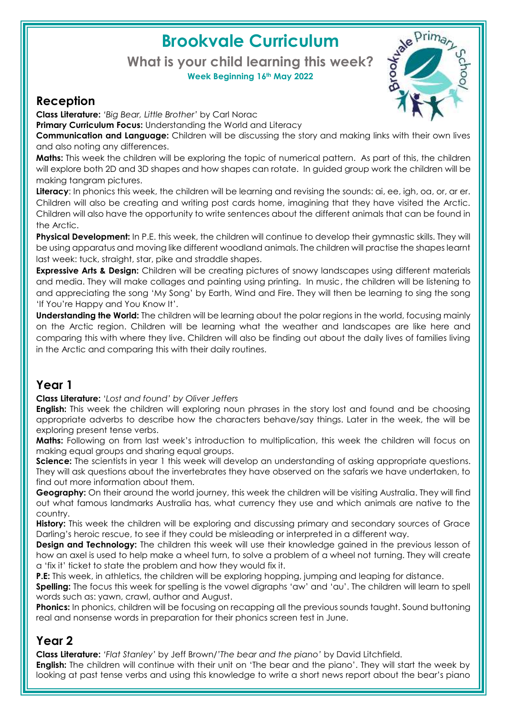# **Brookvale Curriculum**

#### **What is your child learning this week? Week Beginning 16th May 2022**



**Class Literature:** *'Big Bear, Little Brother'* by Carl Norac

**Primary Curriculum Focus:** Understanding the World and Literacy

**Communication and Language:** Children will be discussing the story and making links with their own lives and also noting any differences.

**Maths:** This week the children will be exploring the topic of numerical pattern. As part of this, the children will explore both 2D and 3D shapes and how shapes can rotate. In guided group work the children will be making tangram pictures.

**Literacy**: In phonics this week, the children will be learning and revising the sounds: ai, ee, igh, oa, or, ar er. Children will also be creating and writing post cards home, imagining that they have visited the Arctic. Children will also have the opportunity to write sentences about the different animals that can be found in the Arctic.

**Physical Development:** In P.E. this week, the children will continue to develop their gymnastic skills. They will be using apparatus and moving like different woodland animals. The children will practise the shapes learnt last week: tuck, straight, star, pike and straddle shapes.

**Expressive Arts & Design:** Children will be creating pictures of snowy landscapes using different materials and media. They will make collages and painting using printing. In music, the children will be listening to and appreciating the song 'My Song' by Earth, Wind and Fire. They will then be learning to sing the song 'If You're Happy and You Know It'.

**Understanding the World:** The children will be learning about the polar regions in the world, focusing mainly on the Arctic region. Children will be learning what the weather and landscapes are like here and comparing this with where they live. Children will also be finding out about the daily lives of families living in the Arctic and comparing this with their daily routines.

## **Year 1**

**Class Literature:** '*Lost and found' by Oliver Jeffers*

**English:** This week the children will exploring noun phrases in the story lost and found and be choosing appropriate adverbs to describe how the characters behave/say things. Later in the week, the will be exploring present tense verbs.

**Maths:** Following on from last week's introduction to multiplication, this week the children will focus on making equal groups and sharing equal groups.

**Science:** The scientists in year 1 this week will develop an understanding of asking appropriate questions. They will ask questions about the invertebrates they have observed on the safaris we have undertaken, to find out more information about them.

**Geography:** On their around the world journey, this week the children will be visiting Australia. They will find out what famous landmarks Australia has, what currency they use and which animals are native to the country.

**History:** This week the children will be exploring and discussing primary and secondary sources of Grace Darling's heroic rescue, to see if they could be misleading or interpreted in a different way.

**Design and Technology:** The children this week will use their knowledge gained in the previous lesson of how an axel is used to help make a wheel turn, to solve a problem of a wheel not turning. They will create a 'fix it' ticket to state the problem and how they would fix it.

**P.E:** This week, in athletics, the children will be exploring hopping, jumping and leaping for distance.

**Spelling:** The focus this week for spelling is the vowel digraphs 'aw' and 'au'. The children will learn to spell words such as: yawn, crawl, author and August.

**Phonics:** In phonics, children will be focusing on recapping all the previous sounds taught. Sound buttoning real and nonsense words in preparation for their phonics screen test in June.

### **Year 2**

**Class Literature:** *'Flat Stanley'* by Jeff Brown/*'The bear and the piano'* by David Litchfield. **English:** The children will continue with their unit on 'The bear and the piano'. They will start the week by looking at past tense verbs and using this knowledge to write a short news report about the bear's piano

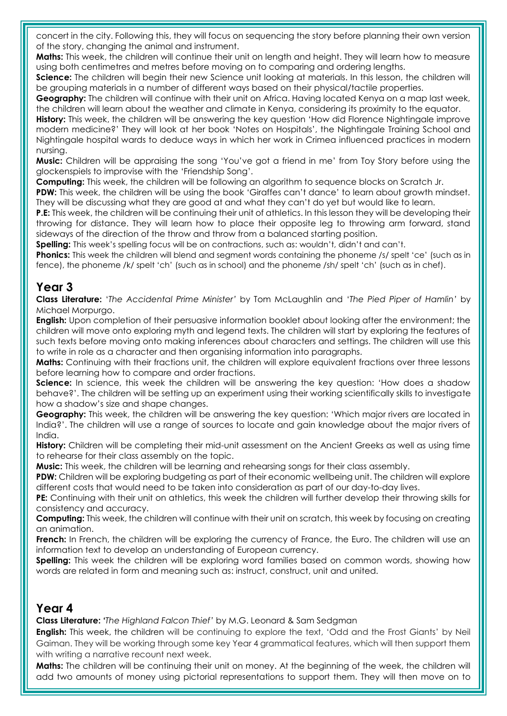concert in the city. Following this, they will focus on sequencing the story before planning their own version of the story, changing the animal and instrument.

**Maths:** This week, the children will continue their unit on length and height. They will learn how to measure using both centimetres and metres before moving on to comparing and ordering lengths.

**Science:** The children will begin their new Science unit looking at materials. In this lesson, the children will be grouping materials in a number of different ways based on their physical/tactile properties.

**Geography:** The children will continue with their unit on Africa. Having located Kenya on a map last week, the children will learn about the weather and climate in Kenya, considering its proximity to the equator.

**History:** This week, the children will be answering the key question 'How did Florence Nightingale improve modern medicine?' They will look at her book 'Notes on Hospitals', the Nightingale Training School and Nightingale hospital wards to deduce ways in which her work in Crimea influenced practices in modern nursing.

**Music:** Children will be appraising the song 'You've got a friend in me' from Toy Story before using the glockenspiels to improvise with the 'Friendship Song'.

**Computing:** This week, the children will be following an algorithm to sequence blocks on Scratch Jr.

**PDW:** This week, the children will be using the book 'Giraffes can't dance' to learn about growth mindset. They will be discussing what they are good at and what they can't do yet but would like to learn.

**P.E:** This week, the children will be continuing their unit of athletics. In this lesson they will be developing their throwing for distance. They will learn how to place their opposite leg to throwing arm forward, stand sideways of the direction of the throw and throw from a balanced starting position.

**Spelling:** This week's spelling focus will be on contractions, such as: wouldn't, didn't and can't.

**Phonics:** This week the children will blend and segment words containing the phoneme /s/ spelt 'ce' (such as in fence), the phoneme /k/ spelt 'ch' (such as in school) and the phoneme /sh/ spelt 'ch' (such as in chef).

#### **Year 3**

**Class Literature:** '*The Accidental Prime Minister'* by Tom McLaughlin and '*The Pied Piper of Hamlin'* by Michael Morpurgo.

**English:** Upon completion of their persuasive information booklet about looking after the environment; the children will move onto exploring myth and legend texts. The children will start by exploring the features of such texts before moving onto making inferences about characters and settings. The children will use this to write in role as a character and then organising information into paragraphs.

**Maths:** Continuing with their fractions unit, the children will explore equivalent fractions over three lessons before learning how to compare and order fractions.

**Science:** In science, this week the children will be answering the key question: 'How does a shadow behave?'. The children will be setting up an experiment using their working scientifically skills to investigate how a shadow's size and shape changes.

**Geography:** This week, the children will be answering the key question: 'Which major rivers are located in India?'. The children will use a range of sources to locate and gain knowledge about the major rivers of India.

**History:** Children will be completing their mid-unit assessment on the Ancient Greeks as well as using time to rehearse for their class assembly on the topic.

**Music:** This week, the children will be learning and rehearsing songs for their class assembly.

**PDW:** Children will be exploring budgeting as part of their economic wellbeing unit. The children will explore different costs that would need to be taken into consideration as part of our day-to-day lives.

**PE:** Continuing with their unit on athletics, this week the children will further develop their throwing skills for consistency and accuracy.

**Computing:** This week, the children will continue with their unit on scratch, this week by focusing on creating an animation.

**French:** In French, the children will be exploring the currency of France, the Euro. The children will use an information text to develop an understanding of European currency.

**Spelling:** This week the children will be exploring word families based on common words, showing how words are related in form and meaning such as: instruct, construct, unit and united.

#### **Year 4**

**Class Literature: '***The Highland Falcon Thief'* by M.G. Leonard & Sam Sedgman

**English:** This week, the children will be continuing to explore the text, 'Odd and the Frost Giants' by Neil Gaiman. They will be working through some key Year 4 grammatical features, which will then support them with writing a narrative recount next week.

**Maths:** The children will be continuing their unit on money. At the beginning of the week, the children will add two amounts of money using pictorial representations to support them. They will then move on to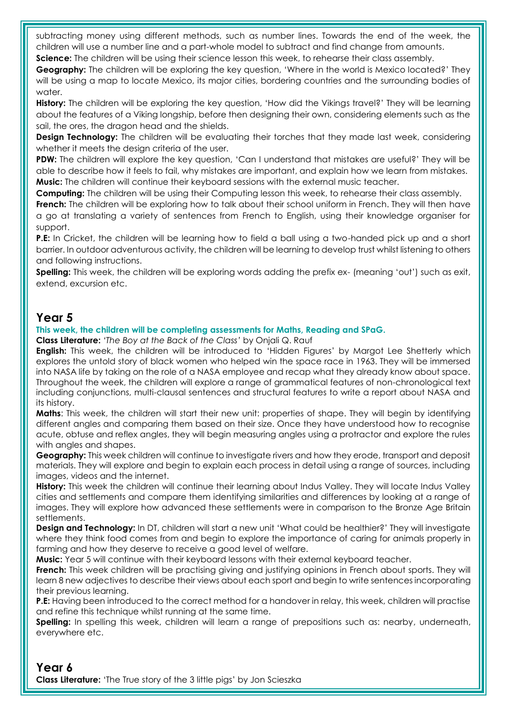subtracting money using different methods, such as number lines. Towards the end of the week, the children will use a number line and a part-whole model to subtract and find change from amounts.

**Science:** The children will be using their science lesson this week, to rehearse their class assembly.

**Geography:** The children will be exploring the key question, 'Where in the world is Mexico located?' They will be using a map to locate Mexico, its major cities, bordering countries and the surrounding bodies of water.

**History:** The children will be exploring the key question, 'How did the Vikings travel?' They will be learning about the features of a Viking longship, before then designing their own, considering elements such as the sail, the ores, the dragon head and the shields.

**Design Technology:** The children will be evaluating their torches that they made last week, considering whether it meets the design criteria of the user.

**PDW:** The children will explore the key question, 'Can I understand that mistakes are useful?' They will be able to describe how it feels to fail, why mistakes are important, and explain how we learn from mistakes. **Music:** The children will continue their keyboard sessions with the external music teacher.

**Computing:** The children will be using their Computing lesson this week, to rehearse their class assembly.

**French:** The children will be exploring how to talk about their school uniform in French. They will then have a go at translating a variety of sentences from French to English, using their knowledge organiser for support.

**P.E:** In Cricket, the children will be learning how to field a ball using a two-handed pick up and a short barrier. In outdoor adventurous activity, the children will be learning to develop trust whilst listening to others and following instructions.

**Spelling:** This week, the children will be exploring words adding the prefix ex- (meaning 'out') such as exit, extend, excursion etc.

#### **Year 5**

#### **This week, the children will be completing assessments for Maths, Reading and SPaG.**

**Class Literature:** *'The Boy at the Back of the Class'* by Onjali Q. Rauf

**English:** This week, the children will be introduced to 'Hidden Figures' by Margot Lee Shetterly which explores the untold story of black women who helped win the space race in 1963. They will be immersed into NASA life by taking on the role of a NASA employee and recap what they already know about space. Throughout the week, the children will explore a range of grammatical features of non-chronological text including conjunctions, multi-clausal sentences and structural features to write a report about NASA and its history.

**Maths**: This week, the children will start their new unit: properties of shape. They will begin by identifying different angles and comparing them based on their size. Once they have understood how to recognise acute, obtuse and reflex angles, they will begin measuring angles using a protractor and explore the rules with angles and shapes.

**Geography:** This week children will continue to investigate rivers and how they erode, transport and deposit materials. They will explore and begin to explain each process in detail using a range of sources, including images, videos and the internet.

**History:** This week the children will continue their learning about Indus Valley. They will locate Indus Valley cities and settlements and compare them identifying similarities and differences by looking at a range of images. They will explore how advanced these settlements were in comparison to the Bronze Age Britain settlements.

**Design and Technology:** In DT, children will start a new unit 'What could be healthier?' They will investigate where they think food comes from and begin to explore the importance of caring for animals properly in farming and how they deserve to receive a good level of welfare.

**Music:** Year 5 will continue with their keyboard lessons with their external keyboard teacher.

**French:** This week children will be practising giving and justifying opinions in French about sports. They will learn 8 new adjectives to describe their views about each sport and begin to write sentences incorporating their previous learning.

**P.E:** Having been introduced to the correct method for a handover in relay, this week, children will practise and refine this technique whilst running at the same time.

**Spelling:** In spelling this week, children will learn a range of prepositions such as: nearby, underneath, everywhere etc.